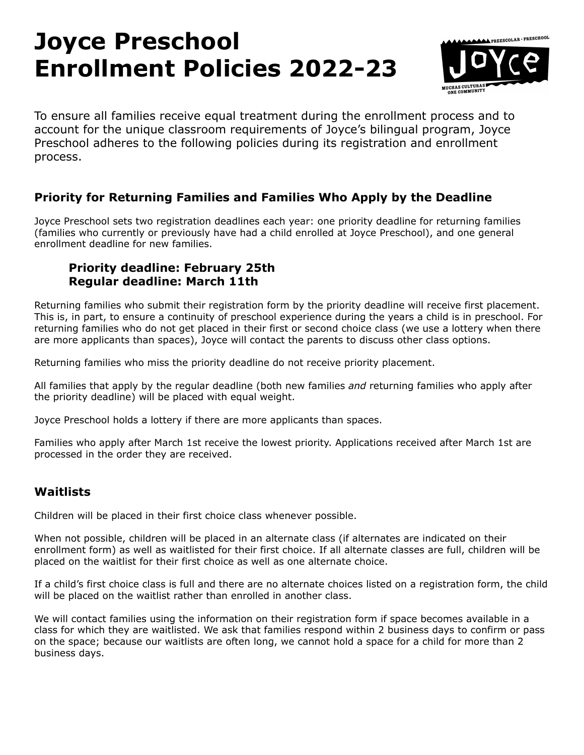# **Joyce Preschool Enrollment Policies 2022-23**



To ensure all families receive equal treatment during the enrollment process and to account for the unique classroom requirements of Joyce's bilingual program, Joyce Preschool adheres to the following policies during its registration and enrollment process.

## **Priority for Returning Families and Families Who Apply by the Deadline**

Joyce Preschool sets two registration deadlines each year: one priority deadline for returning families (families who currently or previously have had a child enrolled at Joyce Preschool), and one general enrollment deadline for new families.

### **Priority deadline: February 25th Regular deadline: March 11th**

Returning families who submit their registration form by the priority deadline will receive first placement. This is, in part, to ensure a continuity of preschool experience during the years a child is in preschool. For returning families who do not get placed in their first or second choice class (we use a lottery when there are more applicants than spaces), Joyce will contact the parents to discuss other class options.

Returning families who miss the priority deadline do not receive priority placement.

All families that apply by the regular deadline (both new families *and* returning families who apply after the priority deadline) will be placed with equal weight.

Joyce Preschool holds a lottery if there are more applicants than spaces.

Families who apply after March 1st receive the lowest priority. Applications received after March 1st are processed in the order they are received.

# **Waitlists**

Children will be placed in their first choice class whenever possible.

When not possible, children will be placed in an alternate class (if alternates are indicated on their enrollment form) as well as waitlisted for their first choice. If all alternate classes are full, children will be placed on the waitlist for their first choice as well as one alternate choice.

If a child's first choice class is full and there are no alternate choices listed on a registration form, the child will be placed on the waitlist rather than enrolled in another class.

We will contact families using the information on their registration form if space becomes available in a class for which they are waitlisted. We ask that families respond within 2 business days to confirm or pass on the space; because our waitlists are often long, we cannot hold a space for a child for more than 2 business days.